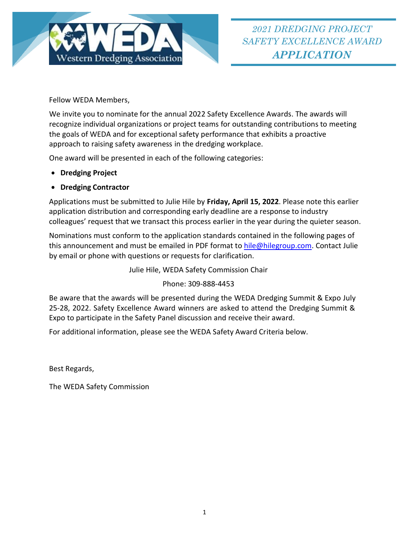

Fellow WEDA Members,

We invite you to nominate for the annual 2022 Safety Excellence Awards. The awards will recognize individual organizations or project teams for outstanding contributions to meeting the goals of WEDA and for exceptional safety performance that exhibits a proactive approach to raising safety awareness in the dredging workplace.

One award will be presented in each of the following categories:

- **Dredging Project**
- **Dredging Contractor**

Applications must be submitted to Julie Hile by **Friday, April 15, 2022**. Please note this earlier application distribution and corresponding early deadline are a response to industry colleagues' request that we transact this process earlier in the year during the quieter season.

Nominations must conform to the application standards contained in the following pages of this announcement and must be emailed in PDF format to [hile@hilegroup.com.](mailto:hile@hilegroup.com) Contact Julie by email or phone with questions or requests for clarification.

Julie Hile, WEDA Safety Commission Chair

Phone: 309-888-4453

Be aware that the awards will be presented during the WEDA Dredging Summit & Expo July 25-28, 2022. Safety Excellence Award winners are asked to attend the Dredging Summit & Expo to participate in the Safety Panel discussion and receive their award.

For additional information, please see the WEDA Safety Award Criteria below.

Best Regards,

The WEDA Safety Commission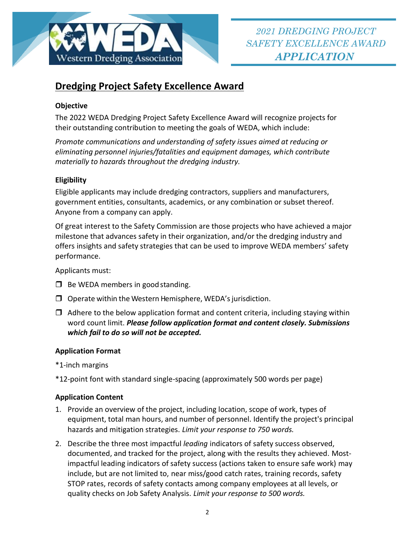

# **Dredging Project Safety Excellence Award**

# **Objective**

The 2022 WEDA Dredging Project Safety Excellence Award will recognize projects for their outstanding contribution to meeting the goals of WEDA, which include:

*Promote communications and understanding of safety issues aimed at reducing or eliminating personnel injuries/fatalities and equipment damages, which contribute materially to hazards throughout the dredging industry.*

# **Eligibility**

Eligible applicants may include dredging contractors, suppliers and manufacturers, government entities, consultants, academics, or any combination or subset thereof. Anyone from a company can apply.

Of great interest to the Safety Commission are those projects who have achieved a major milestone that advances safety in their organization, and/or the dredging industry and offers insights and safety strategies that can be used to improve WEDA members' safety performance.

Applicants must:

- $\Box$  Be WEDA members in good standing.
- $\Box$  Operate within the Western Hemisphere, WEDA's jurisdiction.
- $\Box$  Adhere to the below application format and content criteria, including staying within word count limit. *Please follow application format and content closely. Submissions which fail to do so will not be accepted.*

### **Application Format**

\*1-inch margins

\*12-point font with standard single-spacing (approximately 500 words per page)

### **Application Content**

- 1. Provide an overview of the project, including location, scope of work, types of equipment, total man hours, and number of personnel. Identify the project's principal hazards and mitigation strategies. *Limit your response to 750 words.*
- 2. Describe the three most impactful *leading* indicators of safety success observed, documented, and tracked for the project, along with the results they achieved. Mostimpactful leading indicators of safety success (actions taken to ensure safe work) may include, but are not limited to, near miss/good catch rates, training records, safety STOP rates, records of safety contacts among company employees at all levels, or quality checks on Job Safety Analysis. *Limit your response to 500 words.*